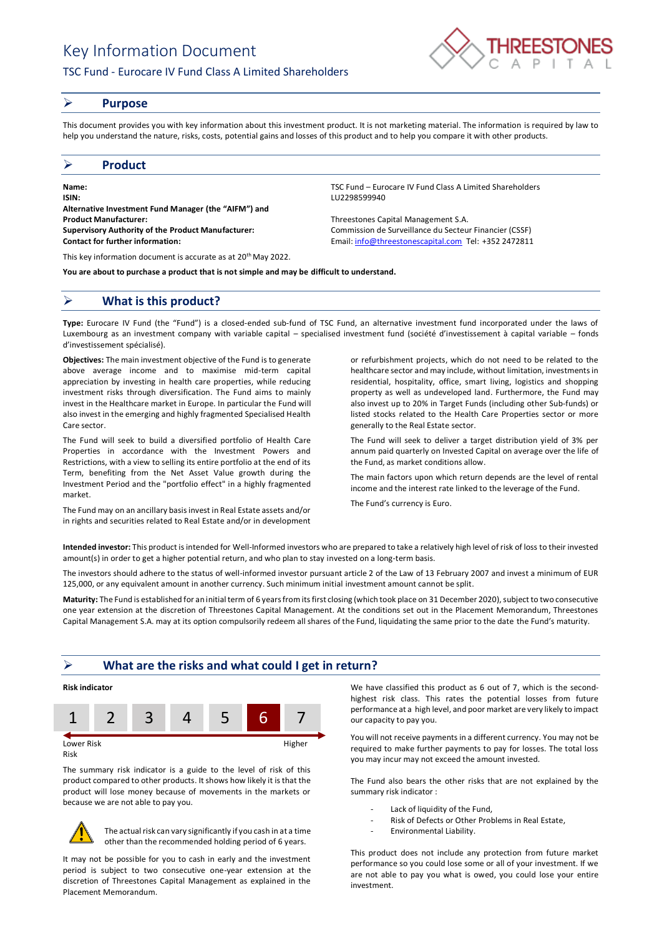# Key Information Document

## TSC Fund - Eurocare IV Fund Class A Limited Shareholders



### ➢ **Purpose**

This document provides you with key information about this investment product. It is not marketing material. The information is required by law to help you understand the nature, risks, costs, potential gains and losses of this product and to help you compare it with other products.

## ➢ **Product**

**Name:** TSC Fund – Eurocare IV Fund Class A Limited Shareholders **ISIN:** LU2298599940 **Alternative Investment Fund Manager (the "AIFM") and Product Manufacturer:** Threestones Capital Management S.A. **Supervisory Authority of the Product Manufacturer:** Commission de Surveillance du Secteur Financier (CSSF) **Contact for further information:** Email[: info@threestonescapital.com](mailto:info@threestonescapital.com) Tel: +352 2472811

This key information document is accurate as at 20th May 2022.

**You are about to purchase a product that is not simple and may be difficult to understand.**

## ➢ **What is this product?**

**Type:** Eurocare IV Fund (the "Fund") is a closed-ended sub-fund of TSC Fund, an alternative investment fund incorporated under the laws of Luxembourg as an investment company with variable capital – specialised investment fund (société d'investissement à capital variable – fonds d'investissement spécialisé).

**Objectives:** The main investment objective of the Fund is to generate above average income and to maximise mid-term capital appreciation by investing in health care properties, while reducing investment risks through diversification. The Fund aims to mainly invest in the Healthcare market in Europe. In particular the Fund will also invest in the emerging and highly fragmented Specialised Health Care sector.

The Fund will seek to build a diversified portfolio of Health Care Properties in accordance with the Investment Powers and Restrictions, with a view to selling its entire portfolio at the end of its Term, benefiting from the Net Asset Value growth during the Investment Period and the "portfolio effect" in a highly fragmented market.

The Fund may on an ancillary basis invest in Real Estate assets and/or in rights and securities related to Real Estate and/or in development

or refurbishment projects, which do not need to be related to the healthcare sector and may include, without limitation, investments in residential, hospitality, office, smart living, logistics and shopping property as well as undeveloped land. Furthermore, the Fund may also invest up to 20% in Target Funds (including other Sub-funds) or listed stocks related to the Health Care Properties sector or more

The Fund will seek to deliver a target distribution yield of 3% per annum paid quarterly on Invested Capital on average over the life of the Fund, as market conditions allow.

The main factors upon which return depends are the level of rental income and the interest rate linked to the leverage of the Fund.

The Fund's currency is Euro.

generally to the Real Estate sector.

**Intended investor:** This product is intended for Well-Informed investors who are prepared to take a relatively high level of risk of loss to their invested amount(s) in order to get a higher potential return, and who plan to stay invested on a long-term basis.

The investors should adhere to the status of well-informed investor pursuant article 2 of the Law of 13 February 2007 and invest a minimum of EUR 125,000, or any equivalent amount in another currency. Such minimum initial investment amount cannot be split.

**Maturity:** The Fund is established for an initial term of 6 years from its first closing (which took place on 31 December 2020), subject to two consecutive one year extension at the discretion of Threestones Capital Management. At the conditions set out in the Placement Memorandum, Threestones Capital Management S.A. may at its option compulsorily redeem all shares of the Fund, liquidating the same prior to the date the Fund's maturity.

### ➢ **What are the risks and what could I get in return?**



Risk

The summary risk indicator is a guide to the level of risk of this product compared to other products. It shows how likely it is that the product will lose money because of movements in the markets or because we are not able to pay you.



The actual risk can vary significantly if you cash in at a time other than the recommended holding period of 6 years.

It may not be possible for you to cash in early and the investment period is subject to two consecutive one-year extension at the discretion of Threestones Capital Management as explained in the Placement Memorandum.

We have classified this product as 6 out of 7, which is the secondhighest risk class. This rates the potential losses from future performance at a high level, and poor market are very likely to impact our capacity to pay you.

You will not receive payments in a different currency. You may not be required to make further payments to pay for losses. The total loss you may incur may not exceed the amount invested.

The Fund also bears the other risks that are not explained by the summary risk indicator :

- Lack of liquidity of the Fund,
- Risk of Defects or Other Problems in Real Estate,
- Environmental Liability.

This product does not include any protection from future market performance so you could lose some or all of your investment. If we are not able to pay you what is owed, you could lose your entire investment.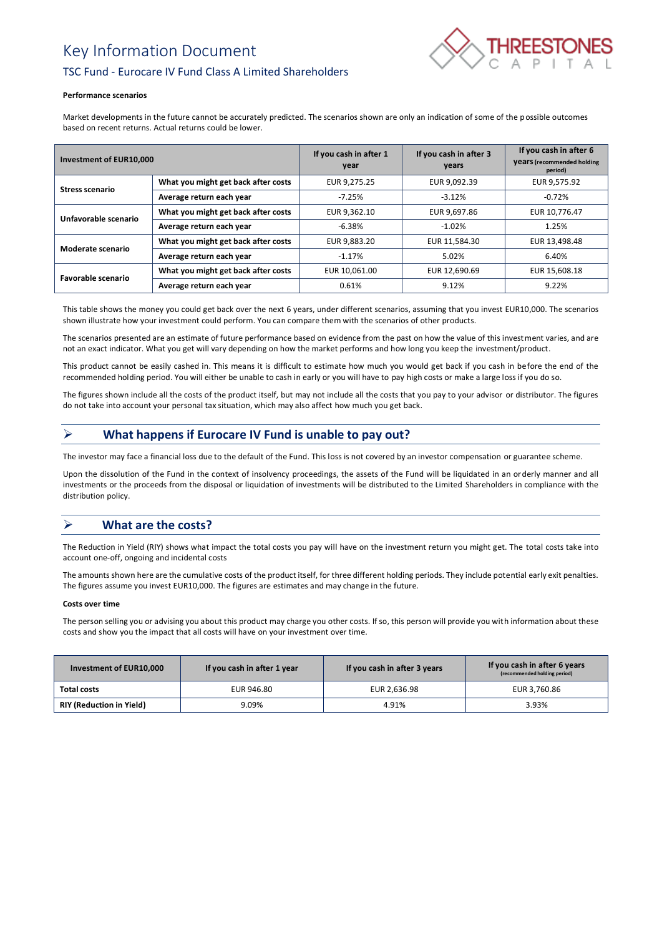# Key Information Document



# TSC Fund - Eurocare IV Fund Class A Limited Shareholders

#### **Performance scenarios**

Market developments in the future cannot be accurately predicted. The scenarios shown are only an indication of some of the possible outcomes based on recent returns. Actual returns could be lower.

| Investment of EUR10,000   |                                     | If you cash in after 1<br>year | If you cash in after 3<br>years | If you cash in after 6<br><b>Vears</b> (recommended holding<br>period) |
|---------------------------|-------------------------------------|--------------------------------|---------------------------------|------------------------------------------------------------------------|
| <b>Stress scenario</b>    | What you might get back after costs | EUR 9,275.25                   | EUR 9,092.39                    | EUR 9,575.92                                                           |
|                           | Average return each year            | $-7.25%$                       | $-3.12%$                        | $-0.72%$                                                               |
| Unfavorable scenario      | What you might get back after costs | EUR 9.362.10                   | EUR 9,697.86                    | EUR 10,776.47                                                          |
|                           | Average return each year            | $-6.38%$                       | $-1.02%$                        | 1.25%                                                                  |
| Moderate scenario         | What you might get back after costs | EUR 9,883.20                   | EUR 11,584.30                   | EUR 13,498.48                                                          |
|                           | Average return each year            | $-1.17%$                       | 5.02%                           | 6.40%                                                                  |
| <b>Favorable scenario</b> | What you might get back after costs | EUR 10.061.00                  | EUR 12,690.69                   | EUR 15,608.18                                                          |
|                           | Average return each year            | 0.61%                          | 9.12%                           | 9.22%                                                                  |

This table shows the money you could get back over the next 6 years, under different scenarios, assuming that you invest EUR10,000. The scenarios shown illustrate how your investment could perform. You can compare them with the scenarios of other products.

The scenarios presented are an estimate of future performance based on evidence from the past on how the value of this investment varies, and are not an exact indicator. What you get will vary depending on how the market performs and how long you keep the investment/product.

This product cannot be easily cashed in. This means it is difficult to estimate how much you would get back if you cash in before the end of the recommended holding period. You will either be unable to cash in early or you will have to pay high costs or make a large loss if you do so.

The figures shown include all the costs of the product itself, but may not include all the costs that you pay to your advisor or distributor. The figures do not take into account your personal tax situation, which may also affect how much you get back.

# ➢ **What happens if Eurocare IV Fund is unable to pay out?**

The investor may face a financial loss due to the default of the Fund. This loss is not covered by an investor compensation or guarantee scheme.

Upon the dissolution of the Fund in the context of insolvency proceedings, the assets of the Fund will be liquidated in an orderly manner and all investments or the proceeds from the disposal or liquidation of investments will be distributed to the Limited Shareholders in compliance with the distribution policy.

# ➢ **What are the costs?**

The Reduction in Yield (RIY) shows what impact the total costs you pay will have on the investment return you might get. The total costs take into account one-off, ongoing and incidental costs

The amounts shown here are the cumulative costs of the product itself, for three different holding periods. They include potential early exit penalties. The figures assume you invest EUR10,000. The figures are estimates and may change in the future.

#### **Costs over time**

The person selling you or advising you about this product may charge you other costs. If so, this person will provide you with information about these costs and show you the impact that all costs will have on your investment over time.

| Investment of EUR10,000         | If you cash in after 1 year | If you cash in after 3 years | If you cash in after 6 years<br>(recommended holding period) |
|---------------------------------|-----------------------------|------------------------------|--------------------------------------------------------------|
| Total costs                     | EUR 946.80                  | EUR 2,636.98                 | EUR 3.760.86                                                 |
| <b>RIY (Reduction in Yield)</b> | 9.09%                       | 4.91%                        | 3.93%                                                        |